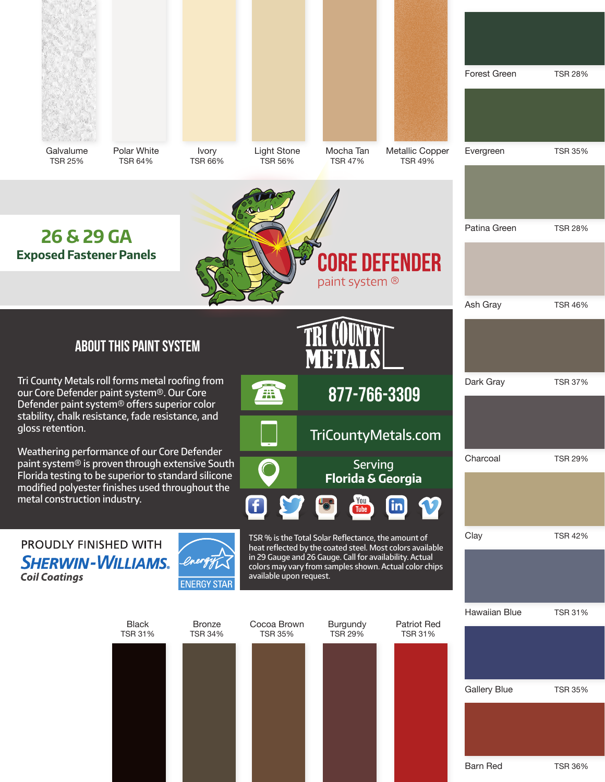